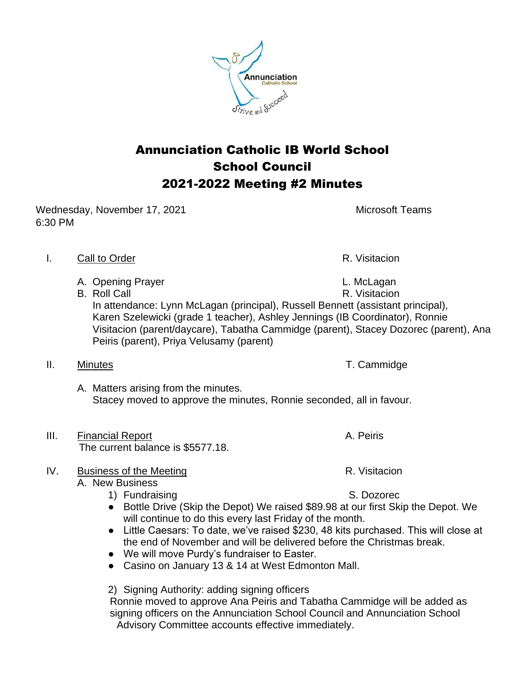

Wednesday, November 17, 2021 Microsoft Teams 6:30 PM

## I. Call to Order **R. Visitacion**

- A. Opening Prayer and the contract of the L. McLagan
- 

B. Roll Call **R. Visitacion** In attendance: Lynn McLagan (principal), Russell Bennett (assistant principal), Karen Szelewicki (grade 1 teacher), Ashley Jennings (IB Coordinator), Ronnie Visitacion (parent/daycare), Tabatha Cammidge (parent), Stacey Dozorec (parent), Ana Peiris (parent), Priya Velusamy (parent)

## II. Minutes **T. Cammidge**

A. Matters arising from the minutes. Stacey moved to approve the minutes, Ronnie seconded, all in favour.

III. Financial Report **A. Peiris** A. Peiris The current balance is \$5577.18.

## IV. Business of the Meeting **R. Visitacion** R. Visitacion

- A. New Business
	- 1) Fundraising S. Dozorec
	- Bottle Drive (Skip the Depot) We raised \$89.98 at our first Skip the Depot. We will continue to do this every last Friday of the month.
	- Little Caesars: To date, we've raised \$230, 48 kits purchased. This will close at the end of November and will be delivered before the Christmas break.
	- We will move Purdy's fundraiser to Easter.
	- Casino on January 13 & 14 at West Edmonton Mall.

2) Signing Authority: adding signing officers

 Ronnie moved to approve Ana Peiris and Tabatha Cammidge will be added as signing officers on the Annunciation School Council and Annunciation School Advisory Committee accounts effective immediately.